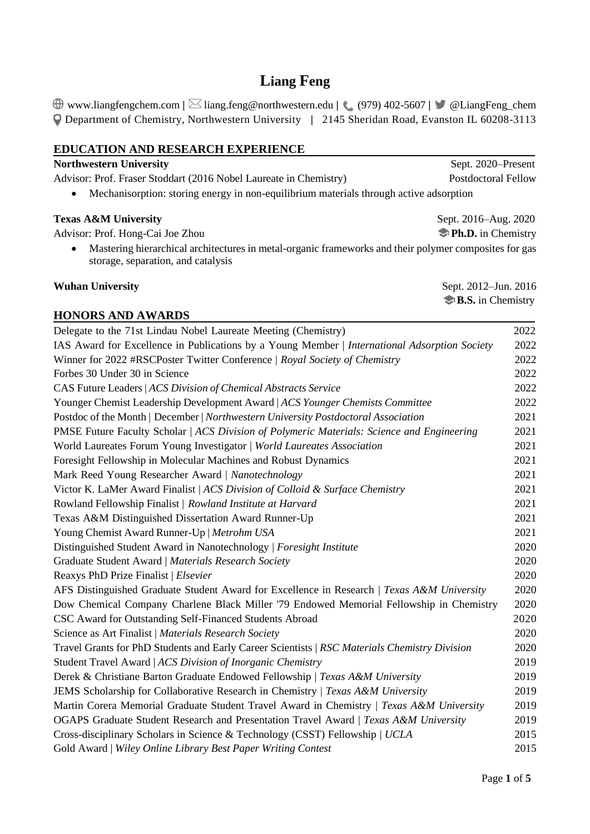# **Liang Feng**

www.liangfengchem.com **|** liang.feng@northwestern.edu **|** (979) 402-5607 **|**@LiangFeng\_chem Department of Chemistry, Northwestern University **|** 2145 Sheridan Road, Evanston IL 60208-3113

| <b>EDUCATION AND RESEARCH EXPERIENCE</b>                                                                                                    |                    |  |
|---------------------------------------------------------------------------------------------------------------------------------------------|--------------------|--|
| <b>Northwestern University</b>                                                                                                              | Sept. 2020-Present |  |
| <b>Postdoctoral Fellow</b><br>Advisor: Prof. Fraser Stoddart (2016 Nobel Laureate in Chemistry)                                             |                    |  |
| Mechanisorption: storing energy in non-equilibrium materials through active adsorption                                                      |                    |  |
| <b>Texas A&amp;M University</b><br>Sept. 2016–Aug. 2020                                                                                     |                    |  |
| Advisor: Prof. Hong-Cai Joe Zhou                                                                                                            | Ph.D. in Chemistry |  |
| Mastering hierarchical architectures in metal-organic frameworks and their polymer composites for gas<br>storage, separation, and catalysis |                    |  |
| <b>Wuhan University</b><br>Sept. 2012-Jun. 2016                                                                                             |                    |  |
| B.S. in Chemistry                                                                                                                           |                    |  |
| <b>HONORS AND AWARDS</b>                                                                                                                    |                    |  |
| Delegate to the 71st Lindau Nobel Laureate Meeting (Chemistry)                                                                              | 2022               |  |
| IAS Award for Excellence in Publications by a Young Member   International Adsorption Society                                               | 2022               |  |
| Winner for 2022 #RSCPoster Twitter Conference   Royal Society of Chemistry                                                                  | 2022               |  |
| Forbes 30 Under 30 in Science                                                                                                               | 2022               |  |
| CAS Future Leaders   ACS Division of Chemical Abstracts Service                                                                             | 2022               |  |
| Younger Chemist Leadership Development Award   ACS Younger Chemists Committee                                                               | 2022               |  |
| Postdoc of the Month   December   Northwestern University Postdoctoral Association                                                          | 2021               |  |
| PMSE Future Faculty Scholar   ACS Division of Polymeric Materials: Science and Engineering                                                  | 2021               |  |
| World Laureates Forum Young Investigator   World Laureates Association                                                                      | 2021               |  |
| Foresight Fellowship in Molecular Machines and Robust Dynamics                                                                              | 2021               |  |
| Mark Reed Young Researcher Award   Nanotechnology                                                                                           | 2021               |  |
| Victor K. LaMer Award Finalist   ACS Division of Colloid & Surface Chemistry                                                                | 2021               |  |
| Rowland Fellowship Finalist   Rowland Institute at Harvard                                                                                  | 2021               |  |
| Texas A&M Distinguished Dissertation Award Runner-Up                                                                                        | 2021               |  |
| Young Chemist Award Runner-Up   Metrohm USA                                                                                                 | 2021               |  |
| Distinguished Student Award in Nanotechnology   Foresight Institute                                                                         | 2020               |  |
| Graduate Student Award   Materials Research Society                                                                                         | 2020               |  |
| Reaxys PhD Prize Finalist   Elsevier                                                                                                        | 2020               |  |
| AFS Distinguished Graduate Student Award for Excellence in Research   Texas A&M University                                                  | 2020               |  |
| Dow Chemical Company Charlene Black Miller '79 Endowed Memorial Fellowship in Chemistry                                                     | 2020               |  |
| CSC Award for Outstanding Self-Financed Students Abroad                                                                                     | 2020               |  |
| Science as Art Finalist   Materials Research Society                                                                                        | 2020               |  |
| Travel Grants for PhD Students and Early Career Scientists   RSC Materials Chemistry Division                                               | 2020               |  |
| Student Travel Award   ACS Division of Inorganic Chemistry                                                                                  | 2019               |  |
| Derek & Christiane Barton Graduate Endowed Fellowship   Texas A&M University                                                                | 2019               |  |
| <b>JEMS</b> Scholarship for Collaborative Research in Chemistry   Texas A&M University                                                      | 2019               |  |
| Martin Corera Memorial Graduate Student Travel Award in Chemistry   Texas A&M University                                                    | 2019               |  |
| OGAPS Graduate Student Research and Presentation Travel Award   Texas A&M University                                                        | 2019               |  |
| Cross-disciplinary Scholars in Science & Technology (CSST) Fellowship   UCLA                                                                | 2015               |  |
| Gold Award   Wiley Online Library Best Paper Writing Contest                                                                                | 2015               |  |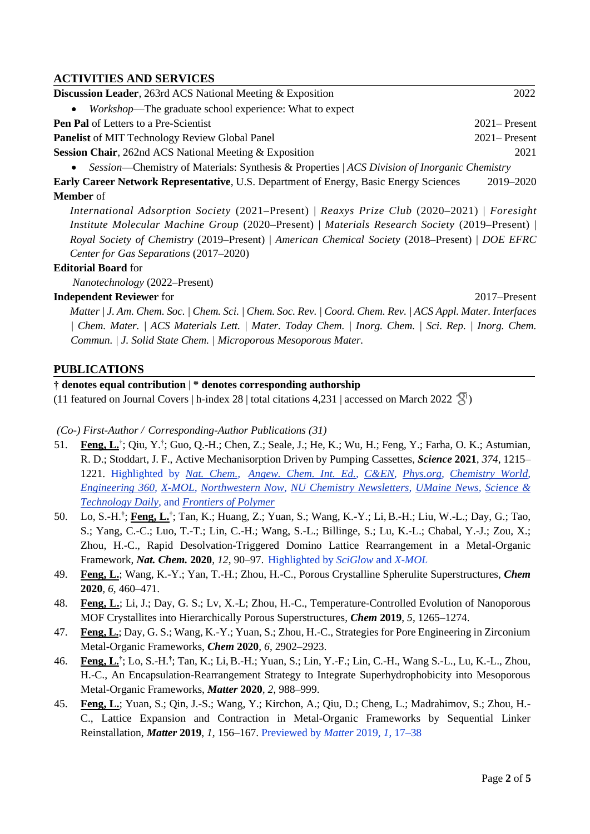## **ACTIVITIES AND SERVICES**

| <b>Discussion Leader, 263rd ACS National Meeting &amp; Exposition</b>                        | 2022             |
|----------------------------------------------------------------------------------------------|------------------|
| <i>Workshop</i> —The graduate school experience: What to expect                              |                  |
| <b>Pen Pal</b> of Letters to a Pre-Scientist                                                 | $2021 -$ Present |
| <b>Panelist</b> of MIT Technology Review Global Panel                                        | $2021 -$ Present |
| <b>Session Chair, 262nd ACS National Meeting &amp; Exposition</b>                            | 2021             |
| Session—Chemistry of Materials: Synthesis & Properties   ACS Division of Inorganic Chemistry |                  |

**Early Career Network Representative**, U.S. Department of Energy, Basic Energy Sciences 2019–2020 **Member** of

 *International Adsorption Society* (2021–Present) | *Reaxys Prize Club* (2020–2021) | *Foresight Institute Molecular Machine Group* (2020–Present) | *Materials Research Society* (2019–Present) | *Royal Society of Chemistry* (2019–Present) | *American Chemical Society* (2018–Present) | *DOE EFRC Center for Gas Separations* (2017–2020)

#### **Editorial Board** for

*Nanotechnology* (2022–Present)

## **Independent Reviewer** for 2017–Present

 *Matter | J. Am. Chem. Soc. | Chem. Sci. | Chem. Soc. Rev. | Coord. Chem. Rev. | ACS Appl. Mater. Interfaces | Chem. Mater. | ACS Materials Lett. | Mater. Today Chem. | Inorg. Chem. | Sci. Rep. | Inorg. Chem. Commun. | J. Solid State Chem. | Microporous Mesoporous Mater.*

## **PUBLICATIONS**

### **† denotes equal contribution** | **\* denotes corresponding authorship**

(11featured on Journal Covers | h-index 28 | total citations 4,231 | accessed on March 2022  $\frac{8!}{3!}$ )

*(Co-) First-Author / Corresponding-Author Publications (31)*

- 51. **Feng, L.**<sup>†</sup>; Qiu, Y.<sup>†</sup>; Guo, Q.-H.; Chen, Z.; Seale, J.; He, K.; Wu, H.; Feng, Y.; Farha, O. K.; Astumian, R. D.; Stoddart, J. F., Active Mechanisorption Driven by Pumping Cassettes, *Science* **2021**, *374*, 1215– 1221. Highlighted by *[Nat. Chem.,](https://www.nature.com/articles/s41557-021-00876-y.epdf?sharing_token=urCzS9HBrZqOM2GeA9p_i9RgN0jAjWel9jnR3ZoTv0NTo1GhTCPMPWIFyQBVgx8k_SKBoGSw70yNvveh7rQBpmFAAe2jHge3P5PpbIUd7Cxipt6mH6VQaNfD3-UiPelRHLceXPMV_jrUckjCdH7o8cGqo0tjudamP5wEBQUvXu0%3D) [Angew. Chem. Int. Ed.,](https://onlinelibrary.wiley.com/doi/10.1002/anie.202115145) [C&EN,](https://cen.acs.org/physical-chemistry/surface-chemistry/Mechanisorption-mimics-biomolecular-machinery/99/i39) [Phys.org,](https://phys.org/news/2021-10-chemists-fundamentally-mode-adsorption.html) [Chemistry World,](https://www.chemistryworld.com/news/first-fundamentally-new-form-of-adsorption-for-more-than-90-years-driven-by-molecular-machines/4014629.article?utm_campaign=cw_shared&utm_medium=social&utm_source=twitter) [Engineering 360,](https://insights.globalspec.com/article/17870/chemists-create-new-mode-of-adsorption) [X-MOL,](https://www.x-mol.com/news/702234) [Northwestern Now,](https://news.northwestern.edu/stories/2021/10/chemists-develop-a-fundamentally-new-mode-of-adsorption/) [NU Chemistry Newsletters,](https://chemistry.northwestern.edu/about/newsletter/2021-newsletters/fall-2021-newsletter/research-highlight-stoddart.html) [UMaine News,](https://umaine.edu/news/blog/2021/10/21/astumian-on-research-team-exploring-mechanisorption-a-fundamentally-new-mechanism-for-active-surface-adsorption/) [Science &](http://digitalpaper.stdaily.com/http_www.kjrb.com/kjrb/html/2021-10/25/content_523759.htm?div=-1)  [Technology Daily,](http://digitalpaper.stdaily.com/http_www.kjrb.com/kjrb/html/2021-10/25/content_523759.htm?div=-1)* and *[Frontiers of Polymer](https://www.163.com/dy/article/GN0HIJMS05329TW8.html)*
- 50. Lo, S.-H.**†** ; **Feng, L.†** ; Tan, K.; Huang, Z.; Yuan, S.; Wang, K.-Y.; Li, B.-H.; Liu, W.-L.; Day, G.; Tao, S.; Yang, C.-C.; Luo, T.-T.; Lin, C.-H.; Wang, S.-L.; Billinge, S.; Lu, K.-L.; Chabal, Y.-J.; Zou, X.; Zhou, H.-C., Rapid Desolvation-Triggered Domino Lattice Rearrangement in a Metal-Organic Framework, *Nat. Chem.* **2020**, *12*, 90–97. Highlighted by *SciGlow* and *X-MOL*
- 49. **Feng, L.**; Wang, K.-Y.; Yan, T.-H.; Zhou, H.-C., Porous Crystalline Spherulite Superstructures, *Chem*  **2020***, 6*, 460–471.
- 48. **Feng, L.**; Li, J.; Day, G. S.; Lv, X.-L; Zhou, H.-C., Temperature-Controlled Evolution of Nanoporous MOF Crystallites into Hierarchically Porous Superstructures, *Chem* **2019**, *5*, 1265–1274.
- 47. **Feng, L.**; Day, G. S.; Wang, K.-Y.; Yuan, S.; Zhou, H.-C., Strategies for Pore Engineering in Zirconium Metal-Organic Frameworks, *Chem* **2020**, *6*, 2902–2923.
- 46. **Feng, L.†** ; Lo, S.-H.**†** ; Tan, K.; Li,B.-H.; Yuan, S.; Lin, Y.-F.; Lin, C.-H., Wang S.-L., Lu, K.-L., Zhou, H.-C., An Encapsulation-Rearrangement Strategy to Integrate Superhydrophobicity into Mesoporous Metal-Organic Frameworks, *Matter* **2020***, 2*, 988–999.
- 45. **Feng, L.**; Yuan, S.; Qin, J.-S.; Wang, Y.; Kirchon, A.; Qiu, D.; Cheng, L.; Madrahimov, S.; Zhou, H.- C., Lattice Expansion and Contraction in Metal-Organic Frameworks by Sequential Linker Reinstallation, *Matter* **2019**, *1*, 156–167. Previewed by *Matter* 2019, *1*, 17–38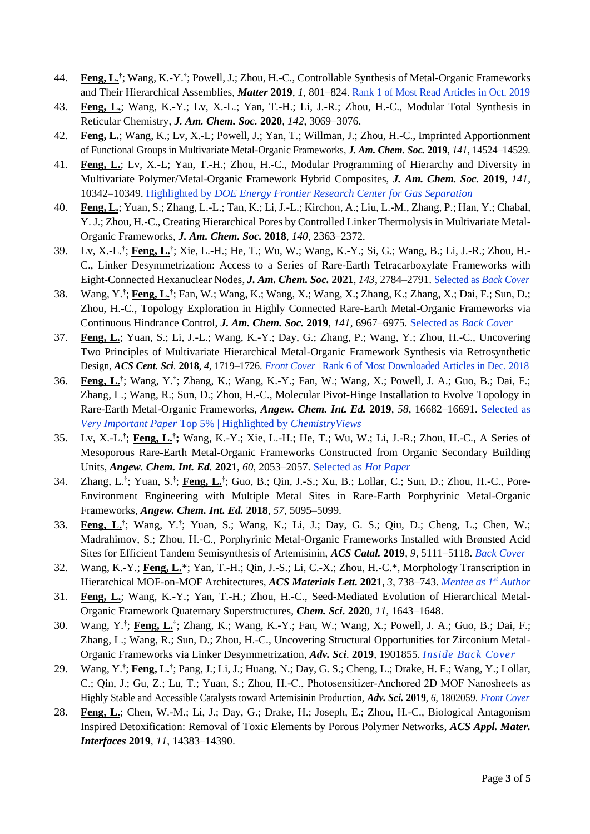- 44. **Feng, L.†** ; Wang, K.-Y.**†** ; Powell, J.; Zhou, H.-C., Controllable Synthesis of Metal-Organic Frameworks and Their Hierarchical Assemblies, *Matter* **2019**, *1,* 801–824. Rank 1 of Most Read Articles in Oct. 2019
- 43. **Feng, L.**; Wang, K.-Y.; Lv, X.-L.; Yan, T.-H.; Li, J.-R.; Zhou, H.-C., Modular Total Synthesis in Reticular Chemistry, *J. Am. Chem. Soc.* **2020**, *142*, 3069–3076.
- 42. **Feng, L.**; Wang, K.; Lv, X.-L; Powell, J.; Yan, T.; Willman, J.; Zhou, H.-C., Imprinted Apportionment of Functional Groups in Multivariate Metal-Organic Frameworks, *J. Am. Chem. Soc.* **2019**, *141*, 14524–14529.
- 41. **Feng, L.**; Lv, X.-L; Yan, T.-H.; Zhou, H.-C., Modular Programming of Hierarchy and Diversity in Multivariate Polymer/Metal-Organic Framework Hybrid Composites, *J. Am. Chem. Soc.* **2019**, *141*, 10342–10349. Highlighted by *DOE Energy Frontier Research Center for Gas Separation*
- 40. **Feng, L.**; Yuan, S.; Zhang, L.-L.; Tan, K.; Li, J.-L.; Kirchon, A.; Liu, L.-M., Zhang, P.; Han, Y.; Chabal, Y. J.; Zhou, H.-C., Creating Hierarchical Pores by Controlled Linker Thermolysis in Multivariate Metal-Organic Frameworks, *J. Am. Chem. Soc.* **2018**, *140*, 2363–2372.
- 39. Lv, X.-L.**†** ; **Feng, L.†** ; Xie, L.-H.; He, T.; Wu, W.; Wang, K.-Y.; Si, G.; Wang, B.; Li, J.-R.; Zhou, H.- C., Linker Desymmetrization: Access to a Series of Rare-Earth Tetracarboxylate Frameworks with Eight-Connected Hexanuclear Nodes, *J. Am. Chem. Soc.* **2021**, *143*, 2784–2791. Selected as *Back Cover*
- 38. Wang, Y.**†** ; **Feng, L.†** ; Fan, W.; Wang, K.; Wang, X.; Wang, X.; Zhang, K.; Zhang, X.; Dai, F.; Sun, D.; Zhou, H.-C., Topology Exploration in Highly Connected Rare-Earth Metal-Organic Frameworks via Continuous Hindrance Control, *J. Am. Chem. Soc.* **2019**, *141*, 6967–6975. Selected as *Back Cover*
- 37. **Feng, L.**; Yuan, S.; Li, J.-L.; Wang, K.-Y.; Day, G.; Zhang, P.; Wang, Y.; Zhou, H.-C., Uncovering Two Principles of Multivariate Hierarchical Metal-Organic Framework Synthesis via Retrosynthetic Design, *ACS Cent. Sci.* **2018**, *4*, 1719–1726. *Front Cover* | Rank 6 of Most Downloaded Articles in Dec. 2018
- 36. **Feng, L.†** ; Wang, Y.**†** ; Zhang, K.; Wang, K.-Y.; Fan, W.; Wang, X.; Powell, J. A.; Guo, B.; Dai, F.; Zhang, L.; Wang, R.; Sun, D.; Zhou, H.-C., Molecular Pivot-Hinge Installation to Evolve Topology in Rare-Earth Metal-Organic Frameworks, *Angew. Chem. Int. Ed.* **2019**, *58*, 16682–16691. Selected as *Very Important Paper* Top 5% | Highlighted by *ChemistryViews*
- 35. Lv, X.-L.**†** ; **Feng, L.† ;** Wang, K.-Y.; Xie, L.-H.; He, T.; Wu, W.; Li, J.-R.; Zhou, H.-C., A Series of Mesoporous Rare-Earth Metal-Organic Frameworks Constructed from Organic Secondary Building Units, *Angew. Chem. Int. Ed.* **2021**, *60*, 2053–2057. Selected as *Hot Paper*
- 34. Zhang, L.**†** ; Yuan, S.**†** ; **Feng, L.†** ; Guo, B.; Qin, J.-S.; Xu, B.; Lollar, C.; Sun, D.; Zhou, H.-C., Pore-Environment Engineering with Multiple Metal Sites in Rare-Earth Porphyrinic Metal-Organic Frameworks, *Angew. Chem. Int. Ed.* **2018**, *57*, 5095–5099.
- 33. **Feng, L.†** ; Wang, Y.**†** ; Yuan, S.; Wang, K.; Li, J.; Day, G. S.; Qiu, D.; Cheng, L.; Chen, W.; Madrahimov, S.; Zhou, H.-C., Porphyrinic Metal-Organic Frameworks Installed with Brønsted Acid Sites for Efficient Tandem Semisynthesis of Artemisinin, *ACS Catal.* **2019***, 9,* 5111–5118. *Back Cover*
- 32. Wang, K.-Y.; **Feng, L.**\*; Yan, T.-H.; Qin, J.-S.; Li, C.-X.; Zhou, H.-C.\*, Morphology Transcription in Hierarchical MOF-on-MOF Architectures, *ACS Materials Lett.* **2021**, *3*, 738–743. *Mentee as 1st Author*
- 31. **Feng, L.**; Wang, K.-Y.; Yan, T.-H.; Zhou, H.-C., Seed-Mediated Evolution of Hierarchical Metal-Organic Framework Quaternary Superstructures, *Chem. Sci.* **2020***, 11*, 1643–1648.
- 30. Wang, Y.**†** ; **Feng, L.†** ; Zhang, K.; Wang, K.-Y.; Fan, W.; Wang, X.; Powell, J. A.; Guo, B.; Dai, F.; Zhang, L.; Wang, R.; Sun, D.; Zhou, H.-C., Uncovering Structural Opportunities for Zirconium Metal-Organic Frameworks via Linker Desymmetrization, *Adv. Sci.* **2019**, 1901855. *Inside Back Cover*
- 29. Wang, Y.**†** ; **Feng, L.†** ; Pang, J.; Li, J.; Huang, N.; Day, G. S.; Cheng, L.; Drake, H. F.; Wang, Y.; Lollar, C.; Qin, J.; Gu, Z.; Lu, T.; Yuan, S.; Zhou, H.-C., Photosensitizer‐Anchored 2D MOF Nanosheets as Highly Stable and Accessible Catalysts toward Artemisinin Production, *Adv. Sci.* **2019**, *6*, 1802059. *Front Cover*
- 28. **Feng, L.**; Chen, W.-M.; Li, J.; Day, G.; Drake, H.; Joseph, E.; Zhou, H.-C., Biological Antagonism Inspired Detoxification: Removal of Toxic Elements by Porous Polymer Networks, *ACS Appl. Mater. Interfaces* **2019**, *11*, 14383–14390.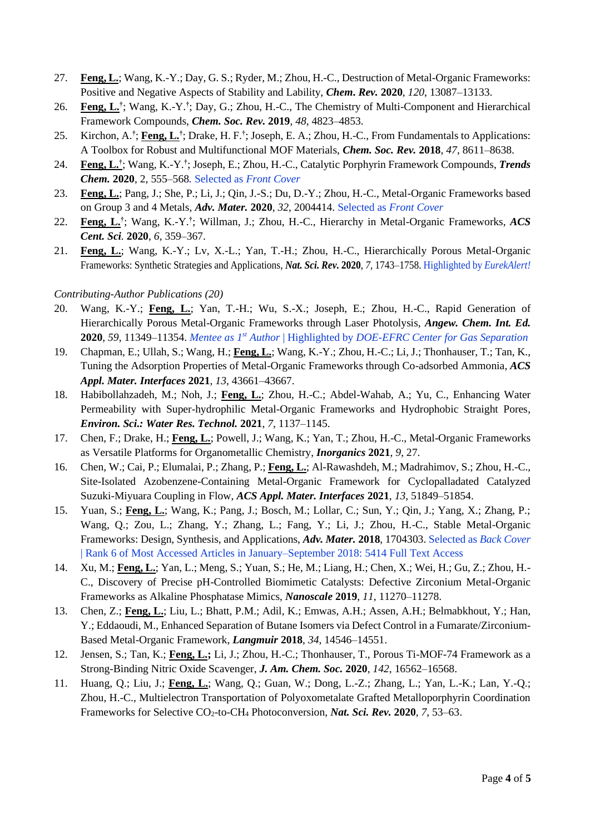- 27. **Feng, L.**; Wang, K.-Y.; Day, G. S.; Ryder, M.; Zhou, H.-C., Destruction of Metal-Organic Frameworks: Positive and Negative Aspects of Stability and Lability, *Chem***.** *Rev.* **2020**, *120*, 13087–13133.
- 26. **Feng, L.†** ; Wang, K.-Y.**†** ; Day, G.; Zhou, H.-C., The Chemistry of Multi-Component and Hierarchical Framework Compounds, *Chem. Soc. Rev.* **2019***, 48*, 4823–4853.
- 25. Kirchon, A.**†** ; **Feng, L.†** ; Drake, H. F.**†** ; Joseph, E. A.; Zhou, H.-C., From Fundamentals to Applications: A Toolbox for Robust and Multifunctional MOF Materials, *Chem. Soc. Rev.* **2018**, *47*, 8611–8638.
- 24. **Feng, L.†** ; Wang, K.-Y.**†** ; Joseph, E.; Zhou, H.-C., Catalytic Porphyrin Framework Compounds, *Trends Chem.* **2020**, 2, 555–568*.* Selected as *Front Cover*
- 23. **Feng, L.**; Pang, J.; She, P.; Li, J.; Qin, J.-S.; Du, D.-Y.; Zhou, H.-C., Metal-Organic Frameworks based on Group 3 and 4 Metals, *Adv. Mater.* **2020**, *32*, 2004414. Selected as *Front Cover*
- 22. **Feng, L.†** ; Wang, K.-Y.**†** ; Willman, J.; Zhou, H.-C., Hierarchy in Metal-Organic Frameworks, *ACS Cent. Sci.* **2020**, *6*, 359–367.
- 21. **Feng, L.**; Wang, K.-Y.; Lv, X.-L.; Yan, T.-H.; Zhou, H.-C., Hierarchically Porous Metal-Organic Frameworks: Synthetic Strategies and Applications, *Nat. Sci. Rev.* **2020**, *7*, 1743–1758. Highlighted by *EurekAlert!*

#### *Contributing-Author Publications (20)*

- 20. Wang, K.-Y.; **Feng, L.**; Yan, T.-H.; Wu, S.-X.; Joseph, E.; Zhou, H.-C., Rapid Generation of Hierarchically Porous Metal-Organic Frameworks through Laser Photolysis, *Angew. Chem. Int. Ed.*  **2020**, *59*, 11349–11354. *Mentee as 1st Author* | Highlighted by *DOE-EFRC Center for Gas Separation*
- 19. Chapman, E.; Ullah, S.; Wang, H.; **Feng, L.**; Wang, K.-Y.; Zhou, H.-C.; Li, J.; Thonhauser, T.; Tan, K., Tuning the Adsorption Properties of Metal-Organic Frameworks through Co-adsorbed Ammonia, *ACS Appl. Mater. Interfaces* **2021**, *13*, 43661–43667.
- 18. Habibollahzadeh, M.; Noh, J.; **Feng, L.**; Zhou, H.-C.; Abdel-Wahab, A.; Yu, C., Enhancing Water Permeability with Super-hydrophilic Metal-Organic Frameworks and Hydrophobic Straight Pores, *Environ. Sci.: Water Res. Technol.* **2021**, *7*, 1137–1145.
- 17. Chen, F.; Drake, H.; **Feng, L.**; Powell, J.; Wang, K.; Yan, T.; Zhou, H.-C., Metal-Organic Frameworks as Versatile Platforms for Organometallic Chemistry, *Inorganics* **2021**, *9*, 27.
- 16. Chen, W.; Cai, P.; Elumalai, P.; Zhang, P.; **Feng, L.**; Al-Rawashdeh, M.; Madrahimov, S.; Zhou, H.-C., Site-Isolated Azobenzene-Containing Metal-Organic Framework for Cyclopalladated Catalyzed Suzuki-Miyuara Coupling in Flow, *ACS Appl. Mater. Interfaces* **2021**, *13*, 51849–51854.
- 15. Yuan, S.; **Feng, L.**; Wang, K.; Pang, J.; Bosch, M.; Lollar, C.; Sun, Y.; Qin, J.; Yang, X.; Zhang, P.; Wang, Q.; Zou, L.; Zhang, Y.; Zhang, L.; Fang, Y.; Li, J.; Zhou, H.-C., Stable Metal-Organic Frameworks: Design, Synthesis, and Applications, *Adv. Mater.* **2018**, 1704303. Selected as *Back Cover* | Rank 6 of Most Accessed Articles in January–September 2018: 5414 Full Text Access
- 14. Xu, M.; **Feng, L.**; Yan, L.; Meng, S.; Yuan, S.; He, M.; Liang, H.; Chen, X.; Wei, H.; Gu, Z.; Zhou, H.- C., Discovery of Precise pH-Controlled Biomimetic Catalysts: Defective Zirconium Metal-Organic Frameworks as Alkaline Phosphatase Mimics, *Nanoscale* **2019**, *11*, 11270–11278.
- 13. Chen, Z.; **Feng, L.**; Liu, L.; Bhatt, P.M.; Adil, K.; Emwas, A.H.; Assen, A.H.; Belmabkhout, Y.; Han, Y.; Eddaoudi, M., Enhanced Separation of Butane Isomers via Defect Control in a Fumarate/Zirconium-Based Metal-Organic Framework, *Langmuir* **2018**, *34*, 14546–14551.
- 12. Jensen, S.; Tan, K.; **Feng, L.;** Li, J.; Zhou, H.-C.; Thonhauser, T., Porous Ti-MOF-74 Framework as a Strong-Binding Nitric Oxide Scavenger, *J. Am. Chem. Soc.* **2020**, *142*, 16562–16568.
- 11. Huang, Q.; Liu, J.; **Feng, L.**; Wang, Q.; Guan, W.; Dong, L.-Z.; Zhang, L.; Yan, L.-K.; Lan, Y.-Q.; Zhou, H.-C., Multielectron Transportation of Polyoxometalate Grafted Metalloporphyrin Coordination Frameworks for Selective CO2-to-CH<sup>4</sup> Photoconversion, *Nat. Sci. Rev.* **2020**, *7*, 53–63.